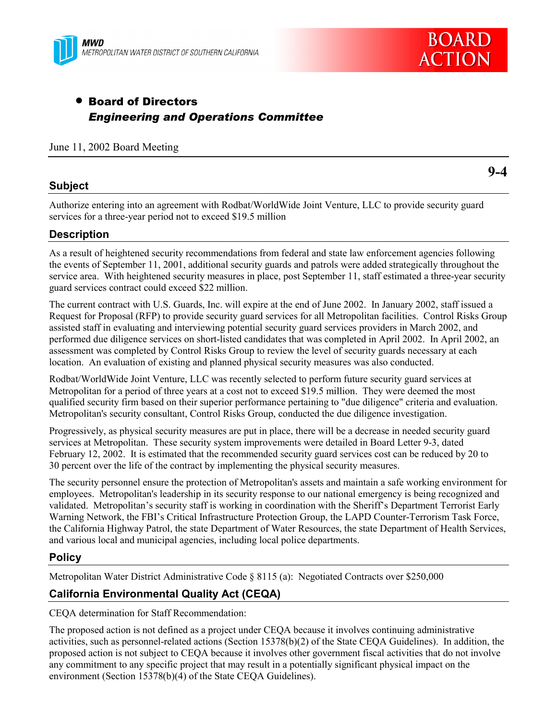



# • Board of Directors *Engineering and Operations Committee*

#### June 11, 2002 Board Meeting

## **Subject**

Authorize entering into an agreement with Rodbat/WorldWide Joint Venture, LLC to provide security guard services for a three-year period not to exceed \$19.5 million

## **Description**

As a result of heightened security recommendations from federal and state law enforcement agencies following the events of September 11, 2001, additional security guards and patrols were added strategically throughout the service area. With heightened security measures in place, post September 11, staff estimated a three-year security guard services contract could exceed \$22 million.

The current contract with U.S. Guards, Inc. will expire at the end of June 2002. In January 2002, staff issued a Request for Proposal (RFP) to provide security guard services for all Metropolitan facilities. Control Risks Group assisted staff in evaluating and interviewing potential security guard services providers in March 2002, and performed due diligence services on short-listed candidates that was completed in April 2002. In April 2002, an assessment was completed by Control Risks Group to review the level of security guards necessary at each location. An evaluation of existing and planned physical security measures was also conducted.

Rodbat/WorldWide Joint Venture, LLC was recently selected to perform future security guard services at Metropolitan for a period of three years at a cost not to exceed \$19.5 million. They were deemed the most qualified security firm based on their superior performance pertaining to "due diligence" criteria and evaluation. Metropolitan's security consultant, Control Risks Group, conducted the due diligence investigation.

Progressively, as physical security measures are put in place, there will be a decrease in needed security guard services at Metropolitan. These security system improvements were detailed in Board Letter 9-3, dated February 12, 2002. It is estimated that the recommended security guard services cost can be reduced by 20 to 30 percent over the life of the contract by implementing the physical security measures.

The security personnel ensure the protection of Metropolitan's assets and maintain a safe working environment for employees. Metropolitan's leadership in its security response to our national emergency is being recognized and validated. Metropolitan's security staff is working in coordination with the Sheriff's Department Terrorist Early Warning Network, the FBI's Critical Infrastructure Protection Group, the LAPD Counter-Terrorism Task Force, the California Highway Patrol, the state Department of Water Resources, the state Department of Health Services, and various local and municipal agencies, including local police departments.

### **Policy**

Metropolitan Water District Administrative Code ß 8115 (a): Negotiated Contracts over \$250,000

## **California Environmental Quality Act (CEQA)**

CEQA determination for Staff Recommendation:

The proposed action is not defined as a project under CEQA because it involves continuing administrative activities, such as personnel-related actions (Section 15378(b)(2) of the State CEQA Guidelines). In addition, the proposed action is not subject to CEQA because it involves other government fiscal activities that do not involve any commitment to any specific project that may result in a potentially significant physical impact on the environment (Section 15378(b)(4) of the State CEQA Guidelines).

**9-4**